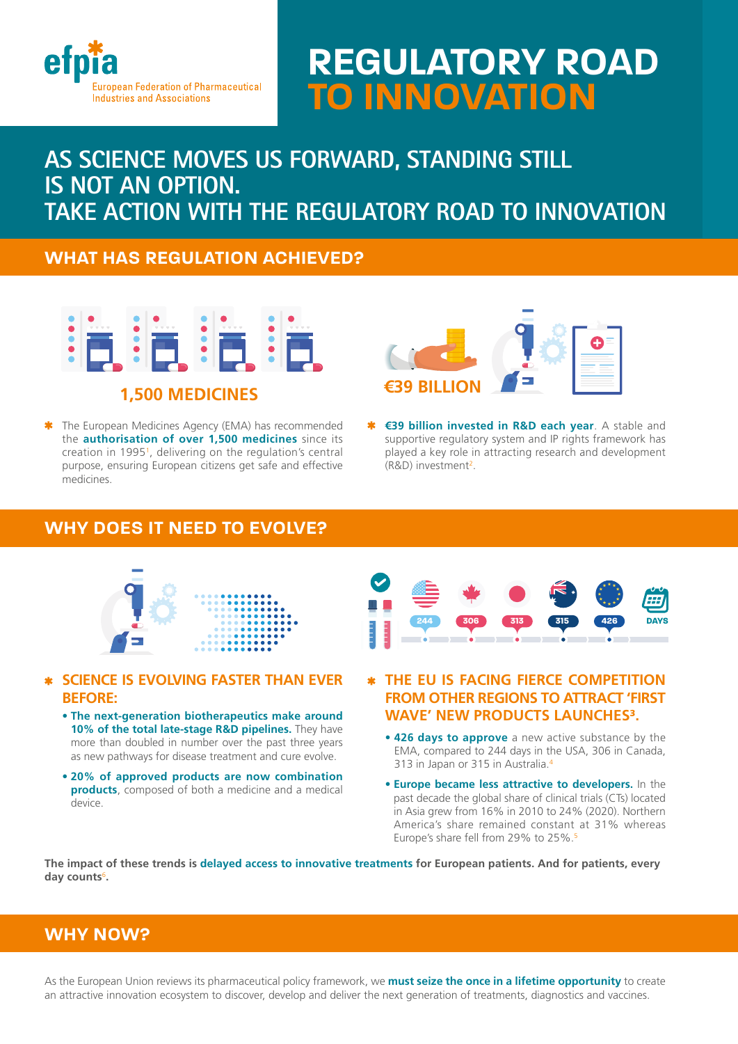

# **REGULATORY ROAD TO INNOVATION**

# **AS SCIENCE MOVES US FORWARD, STANDING STILL IS NOT AN OPTION. TAKE ACTION WITH THE REGULATORY ROAD TO INNOVATION**

# **WHAT HAS REGULATION ACHIEVED?**



\* The European Medicines Agency (EMA) has recommended the **authorisation of over 1,500 medicines** since its creation in 19951, delivering on the regulation's central purpose, ensuring European citizens get safe and effective medicines.



 **€39 billion invested in R&D each year**. A stable and supportive regulatory system and IP rights framework has played a key role in attracting research and development (R&D) investment<sup>2</sup>.

# **WHY DOES IT NEED TO EVOLVE?**



## **SCIENCE IS EVOLVING FASTER THAN EVER BEFORE:**

- **The next-generation biotherapeutics make around 10% of the total late-stage R&D pipelines.** They have more than doubled in number over the past three years as new pathways for disease treatment and cure evolve.
- **20% of approved products are now combination products**, composed of both a medicine and a medical device.



- **THE EU IS FACING FIERCE COMPETITION FROM OTHER REGIONS TO ATTRACT 'FIRST WAVE' NEW PRODUCTS LAUNCHES3.**
	- **426 days to approve** a new active substance by the EMA, compared to 244 days in the USA, 306 in Canada, 313 in Japan or 315 in Australia.4
	- **Europe became less attractive to developers.** In the past decade the global share of clinical trials (CTs) located in Asia grew from 16% in 2010 to 24% (2020). Northern America's share remained constant at 31% whereas Europe's share fell from 29% to 25%.5

**The impact of these trends is delayed access to innovative treatments for European patients. And for patients, every day counts**<sup>6</sup> **.**

# **WHY NOW?**

As the European Union reviews its pharmaceutical policy framework, we **must seize the once in a lifetime opportunity** to create an attractive innovation ecosystem to discover, develop and deliver the next generation of treatments, diagnostics and vaccines.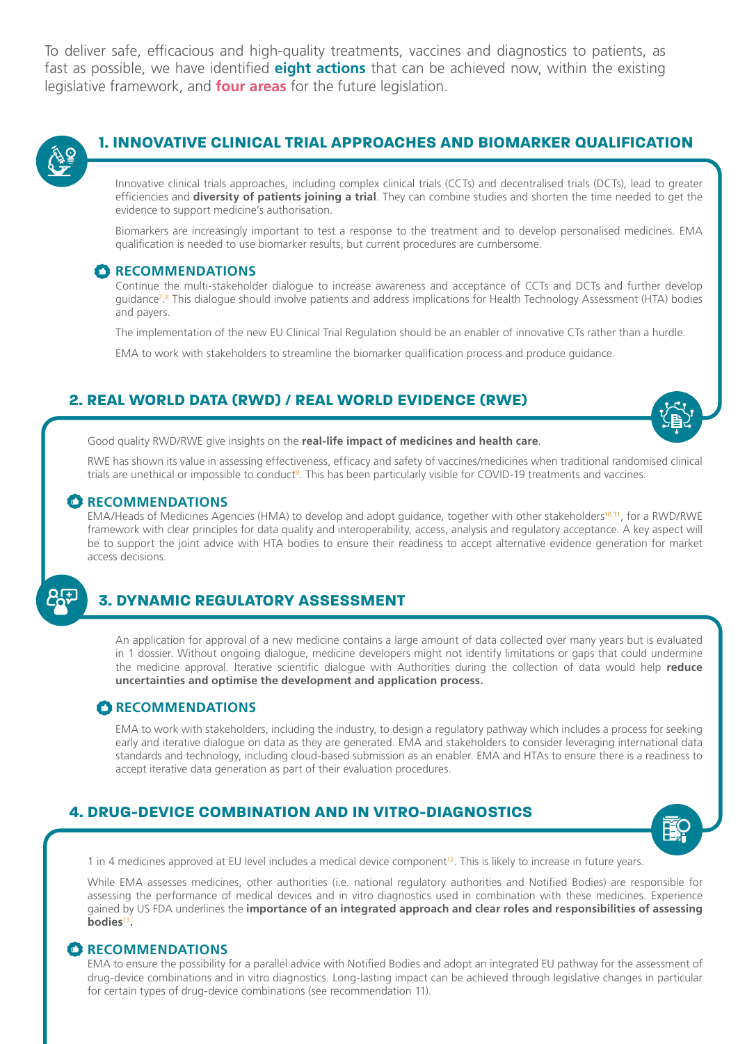To deliver safe, efficacious and high-quality treatments, vaccines and diagnostics to patients, as fast as possible, we have identified **eight actions** that can be achieved now, within the existing legislative framework, and **four areas** for the future legislation.



# **1. INNOVATIVE CLINICAL TRIAL APPROACHES AND BIOMARKER QUALIFICATION**

Innovative clinical trials approaches, including complex clinical trials (CCTs) and decentralised trials (DCTs), lead to greater efficiencies and **diversity of patients joining a trial**. They can combine studies and shorten the time needed to get the evidence to support medicine's authorisation.

Biomarkers are increasingly important to test a response to the treatment and to develop personalised medicines. EMA qualification is needed to use biomarker results, but current procedures are cumbersome.

#### *C* RECOMMENDATIONS

Continue the multi-stakeholder dialogue to increase awareness and acceptance of CCTs and DCTs and further develop guidance<sup>7,8</sup> This dialogue should involve patients and address implications for Health Technology Assessment (HTA) bodies and payers.

The implementation of the new EU Clinical Trial Regulation should be an enabler of innovative CTs rather than a hurdle.

EMA to work with stakeholders to streamline the biomarker qualification process and produce guidance.

# **2. REAL WORLD DATA (RWD) / REAL WORLD EVIDENCE (RWE)**



Good quality RWD/RWE give insights on the **real-life impact of medicines and health care**.

RWE has shown its value in assessing effectiveness, efficacy and safety of vaccines/medicines when traditional randomised clinical trials are unethical or impossible to conduct<sup>9</sup>. This has been particularly visible for COVID-19 treatments and vaccines.

#### **RECOMMENDATIONS**

EMA/Heads of Medicines Agencies (HMA) to develop and adopt guidance, together with other stakeholders<sup>10,11</sup>, for a RWD/RWE framework with clear principles for data quality and interoperability, access, analysis and regulatory acceptance. A key aspect will be to support the joint advice with HTA bodies to ensure their readiness to accept alternative evidence generation for market access decisions.

# **3. DYNAMIC REGULATORY ASSESSMENT**

An application for approval of a new medicine contains a large amount of data collected over many years but is evaluated in 1 dossier. Without ongoing dialogue, medicine developers might not identify limitations or gaps that could undermine the medicine approval. Iterative scientific dialogue with Authorities during the collection of data would help **reduce uncertainties and optimise the development and application process.** 

#### **RECOMMENDATIONS**

EMA to work with stakeholders, including the industry, to design a regulatory pathway which includes a process for seeking early and iterative dialogue on data as they are generated. EMA and stakeholders to consider leveraging international data standards and technology, including cloud-based submission as an enabler. EMA and HTAs to ensure there is a readiness to accept iterative data generation as part of their evaluation procedures.

# **4. DRUG-DEVICE COMBINATION AND IN VITRO-DIAGNOSTICS**



1 in 4 medicines approved at EU level includes a medical device component12. This is likely to increase in future years.

While EMA assesses medicines, other authorities (i.e. national regulatory authorities and Notified Bodies) are responsible for assessing the performance of medical devices and in vitro diagnostics used in combination with these medicines. Experience gained by US FDA underlines the **importance of an integrated approach and clear roles and responsibilities of assessing bodies**<sup>13</sup>**.**

#### **RECOMMENDATIONS**

EMA to ensure the possibility for a parallel advice with Notified Bodies and adopt an integrated EU pathway for the assessment of drug-device combinations and in vitro diagnostics. Long-lasting impact can be achieved through legislative changes in particular for certain types of drug-device combinations (see recommendation 11).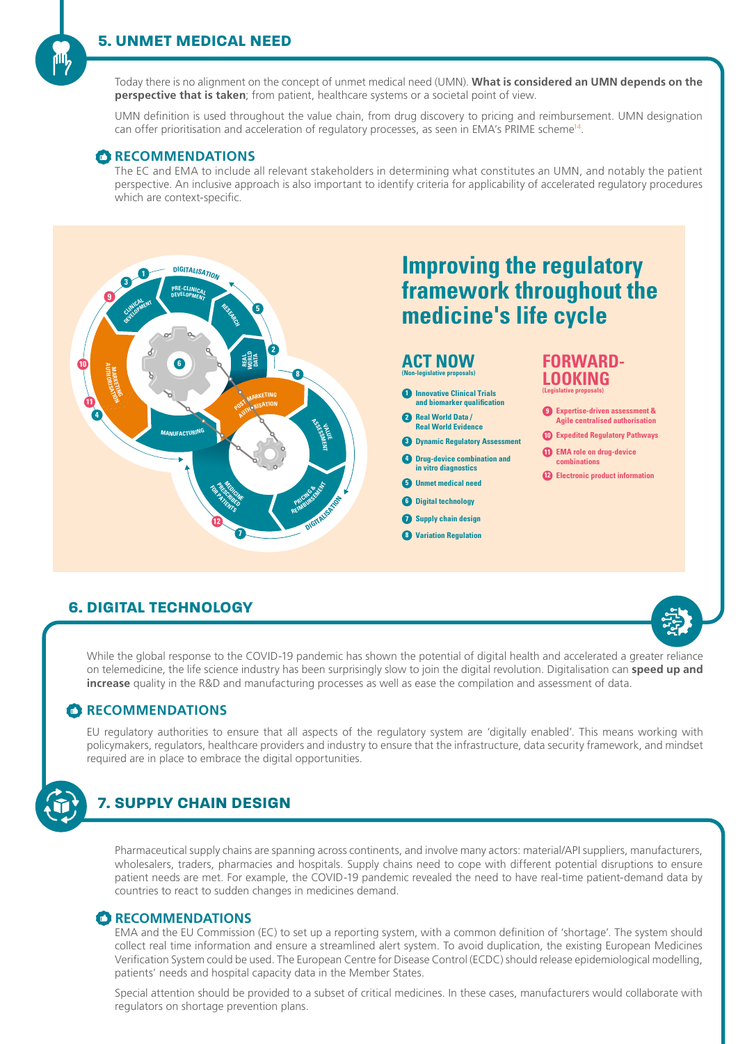Today there is no alignment on the concept of unmet medical need (UMN). **What is considered an UMN depends on the perspective that is taken**; from patient, healthcare systems or a societal point of view.

UMN definition is used throughout the value chain, from drug discovery to pricing and reimbursement. UMN designation can offer prioritisation and acceleration of regulatory processes, as seen in EMA's PRIME scheme<sup>14</sup>.

#### **RECOMMENDATIONS**

The EC and EMA to include all relevant stakeholders in determining what constitutes an UMN, and notably the patient perspective. An inclusive approach is also important to identify criteria for applicability of accelerated regulatory procedures which are context-specific.



# **6. DIGITAL TECHNOLOGY**



While the global response to the COVID-19 pandemic has shown the potential of digital health and accelerated a greater reliance on telemedicine, the life science industry has been surprisingly slow to join the digital revolution. Digitalisation can **speed up and increase** quality in the R&D and manufacturing processes as well as ease the compilation and assessment of data.

## **RECOMMENDATIONS**

EU regulatory authorities to ensure that all aspects of the regulatory system are 'digitally enabled'. This means working with policymakers, regulators, healthcare providers and industry to ensure that the infrastructure, data security framework, and mindset required are in place to embrace the digital opportunities.



# **7. SUPPLY CHAIN DESIGN**

Pharmaceutical supply chains are spanning across continents, and involve many actors: material/API suppliers, manufacturers, wholesalers, traders, pharmacies and hospitals. Supply chains need to cope with different potential disruptions to ensure patient needs are met. For example, the COVID-19 pandemic revealed the need to have real-time patient-demand data by countries to react to sudden changes in medicines demand.

# **RECOMMENDATIONS**

EMA and the EU Commission (EC) to set up a reporting system, with a common definition of 'shortage'. The system should collect real time information and ensure a streamlined alert system. To avoid duplication, the existing European Medicines Verification System could be used. The European Centre for Disease Control (ECDC) should release epidemiological modelling, patients' needs and hospital capacity data in the Member States.

Special attention should be provided to a subset of critical medicines. In these cases, manufacturers would collaborate with regulators on shortage prevention plans.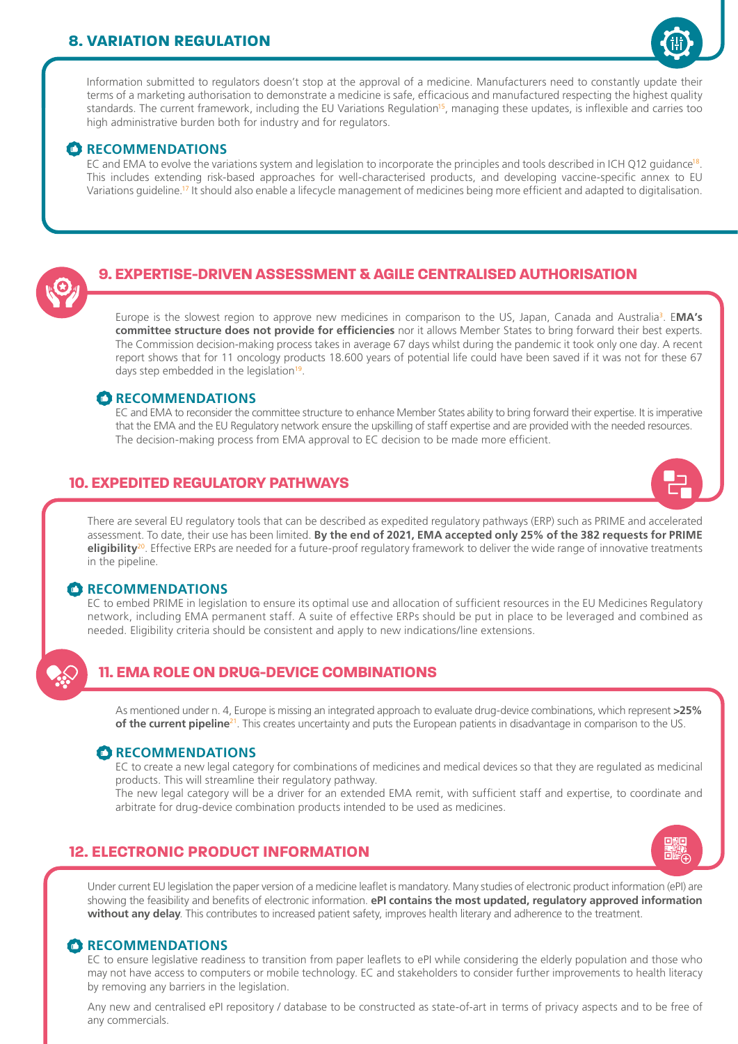# **8. VARIATION REGULATION**



Information submitted to regulators doesn't stop at the approval of a medicine. Manufacturers need to constantly update their terms of a marketing authorisation to demonstrate a medicine is safe, efficacious and manufactured respecting the highest quality standards. The current framework, including the EU Variations Regulation<sup>15</sup>, managing these updates, is inflexible and carries too high administrative burden both for industry and for regulators.

## **CRECOMMENDATIONS**

EC and EMA to evolve the variations system and legislation to incorporate the principles and tools described in ICH Q12 quidance<sup>18</sup>. This includes extending risk-based approaches for well-characterised products, and developing vaccine-specific annex to EU Variations guideline.17 It should also enable a lifecycle management of medicines being more efficient and adapted to digitalisation.

# **9. EXPERTISE-DRIVEN ASSESSMENT & AGILE CENTRALISED AUTHORISATION**

Europe is the slowest region to approve new medicines in comparison to the US, Japan, Canada and Australia3 . E**MA's committee structure does not provide for efficiencies** nor it allows Member States to bring forward their best experts. The Commission decision-making process takes in average 67 days whilst during the pandemic it took only one day. A recent report shows that for 11 oncology products 18.600 years of potential life could have been saved if it was not for these 67 days step embedded in the legislation<sup>19</sup>.

### **RECOMMENDATIONS**

EC and EMA to reconsider the committee structure to enhance Member States ability to bring forward their expertise. It is imperative that the EMA and the EU Regulatory network ensure the upskilling of staff expertise and are provided with the needed resources. The decision-making process from EMA approval to EC decision to be made more efficient.

# **10. EXPEDITED REGULATORY PATHWAYS**

There are several EU regulatory tools that can be described as expedited regulatory pathways (ERP) such as PRIME and accelerated assessment. To date, their use has been limited. **By the end of 2021, EMA accepted only 25% of the 382 requests for PRIME eligibility**<sup>20</sup>. Effective ERPs are needed for a future-proof regulatory framework to deliver the wide range of innovative treatments in the pipeline.

#### **RECOMMENDATIONS**

EC to embed PRIME in legislation to ensure its optimal use and allocation of sufficient resources in the EU Medicines Regulatory network, including EMA permanent staff. A suite of effective ERPs should be put in place to be leveraged and combined as needed. Eligibility criteria should be consistent and apply to new indications/line extensions.

# **11. EMA ROLE ON DRUG-DEVICE COMBINATIONS**

As mentioned under n. 4, Europe is missing an integrated approach to evaluate drug-device combinations, which represent **>25% of the current pipeline**<sup>21</sup>. This creates uncertainty and puts the European patients in disadvantage in comparison to the US.

## **RECOMMENDATIONS**

EC to create a new legal category for combinations of medicines and medical devices so that they are regulated as medicinal products. This will streamline their regulatory pathway.

The new legal category will be a driver for an extended EMA remit, with sufficient staff and expertise, to coordinate and arbitrate for drug-device combination products intended to be used as medicines.

# **12. ELECTRONIC PRODUCT INFORMATION**



Under current EU legislation the paper version of a medicine leaflet is mandatory. Many studies of electronic product information (ePI) are showing the feasibility and benefits of electronic information. **ePI contains the most updated, regulatory approved information without any delay**. This contributes to increased patient safety, improves health literary and adherence to the treatment.

#### **RECOMMENDATIONS**

EC to ensure legislative readiness to transition from paper leaflets to ePI while considering the elderly population and those who may not have access to computers or mobile technology. EC and stakeholders to consider further improvements to health literacy by removing any barriers in the legislation.

Any new and centralised ePI repository / database to be constructed as state-of-art in terms of privacy aspects and to be free of any commercials.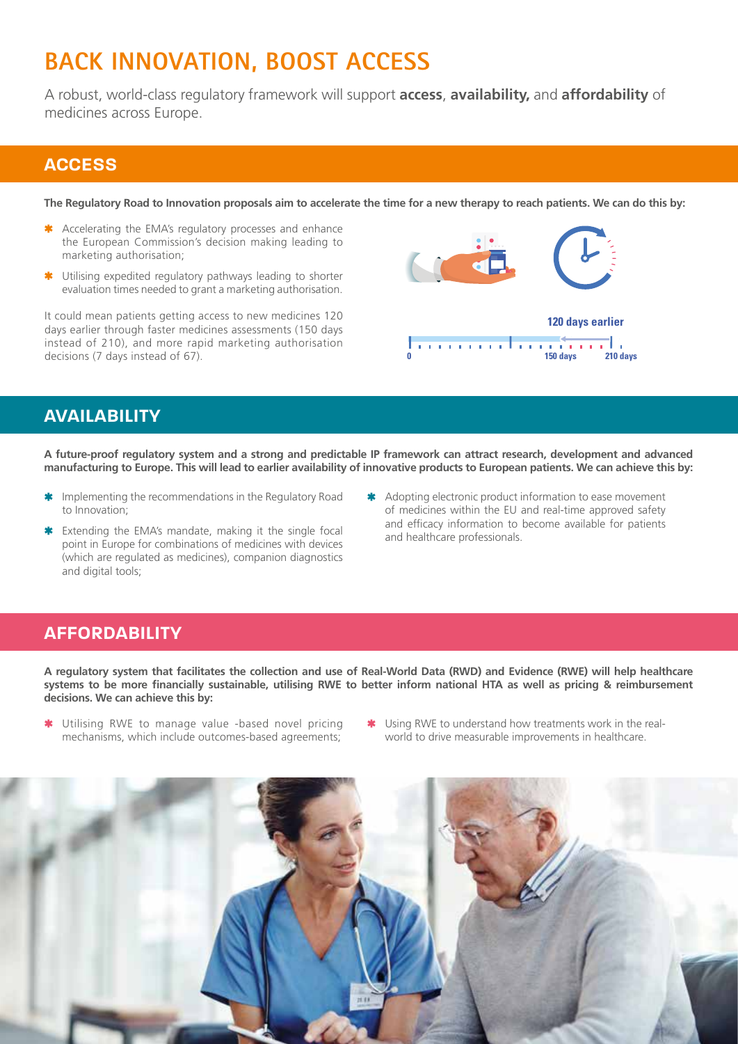# **BACK INNOVATION, BOOST ACCESS**

A robust, world-class regulatory framework will support **access**, **availability,** and **affordability** of medicines across Europe.

# **ACCESS**

**The Regulatory Road to Innovation proposals aim to accelerate the time for a new therapy to reach patients. We can do this by:**

- \* Accelerating the EMA's regulatory processes and enhance the European Commission's decision making leading to marketing authorisation;
- Utilising expedited regulatory pathways leading to shorter evaluation times needed to grant a marketing authorisation.

It could mean patients getting access to new medicines 120 days earlier through faster medicines assessments (150 days instead of 210), and more rapid marketing authorisation decisions (7 days instead of 67).



# **AVAILABILITY**

**A future-proof regulatory system and a strong and predictable IP framework can attract research, development and advanced manufacturing to Europe. This will lead to earlier availability of innovative products to European patients. We can achieve this by:**

- **\*** Implementing the recommendations in the Regulatory Road to Innovation;
- \* Extending the EMA's mandate, making it the single focal point in Europe for combinations of medicines with devices (which are regulated as medicines), companion diagnostics and digital tools;
- \* Adopting electronic product information to ease movement of medicines within the EU and real-time approved safety and efficacy information to become available for patients and healthcare professionals.

# **AFFORDABILITY**

**A regulatory system that facilitates the collection and use of Real-World Data (RWD) and Evidence (RWE) will help healthcare systems to be more financially sustainable, utilising RWE to better inform national HTA as well as pricing & reimbursement decisions. We can achieve this by:**

- \* Utilising RWE to manage value -based novel pricing mechanisms, which include outcomes-based agreements;
- \* Using RWE to understand how treatments work in the realworld to drive measurable improvements in healthcare.